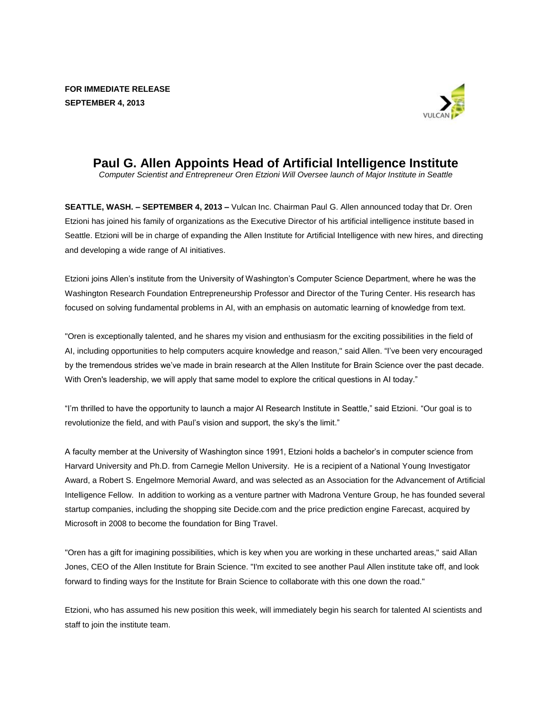

## **Paul G. Allen Appoints Head of Artificial Intelligence Institute**

*Computer Scientist and Entrepreneur Oren Etzioni Will Oversee launch of Major Institute in Seattle* 

**SEATTLE, WASH. – SEPTEMBER 4, 2013 –** Vulcan Inc. Chairman Paul G. Allen announced today that Dr. Oren Etzioni has joined his family of organizations as the Executive Director of his artificial intelligence institute based in Seattle. Etzioni will be in charge of expanding the Allen Institute for Artificial Intelligence with new hires, and directing and developing a wide range of AI initiatives.

Etzioni joins Allen's institute from the University of Washington's Computer Science Department, where he was the Washington Research Foundation Entrepreneurship Professor and Director of the Turing Center. His research has focused on solving fundamental problems in AI, with an emphasis on automatic learning of knowledge from text.

"Oren is exceptionally talented, and he shares my vision and enthusiasm for the exciting possibilities in the field of AI, including opportunities to help computers acquire knowledge and reason," said Allen. "I've been very encouraged by the tremendous strides we've made in brain research at the Allen Institute for Brain Science over the past decade. With Oren's leadership, we will apply that same model to explore the critical questions in AI today."

"I'm thrilled to have the opportunity to launch a major AI Research Institute in Seattle," said Etzioni. "Our goal is to revolutionize the field, and with Paul's vision and support, the sky's the limit."

A faculty member at the University of Washington since 1991, Etzioni holds a bachelor's in computer science from Harvard University and Ph.D. from Carnegie Mellon University. He is a recipient of a National Young Investigator Award, a Robert S. Engelmore Memorial Award, and was selected as an Association for the Advancement of Artificial Intelligence Fellow. In addition to working as a venture partner with Madrona Venture Group, he has founded several startup companies, including the shopping site Decide.com and the price prediction engine Farecast, acquired by Microsoft in 2008 to become the foundation for Bing Travel.

"Oren has a gift for imagining possibilities, which is key when you are working in these uncharted areas," said Allan Jones, CEO of the Allen Institute for Brain Science. "I'm excited to see another Paul Allen institute take off, and look forward to finding ways for the Institute for Brain Science to collaborate with this one down the road."

Etzioni, who has assumed his new position this week, will immediately begin his search for talented AI scientists and staff to join the institute team.